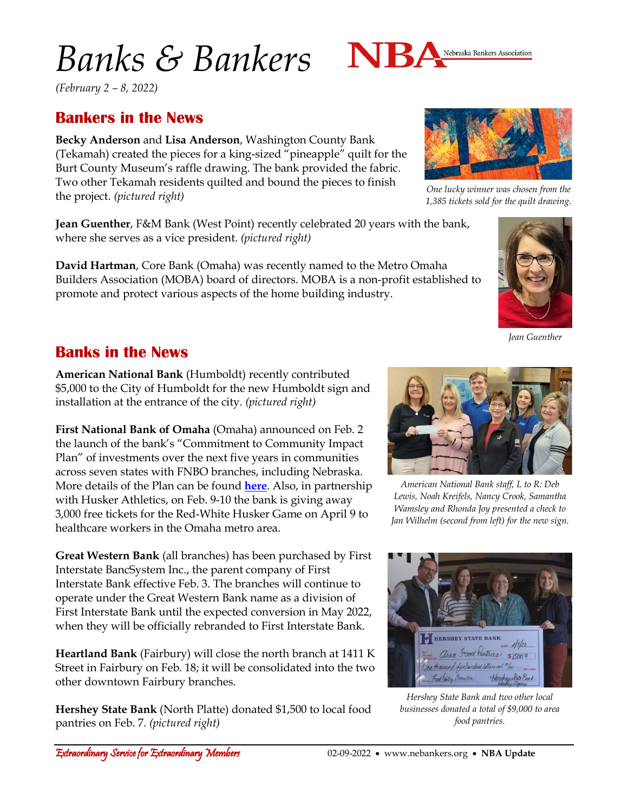# *Banks & Bankers*



*(February 2 – 8, 2022)*

### **Bankers in the News**

**Becky Anderson** and **Lisa Anderson**, Washington County Bank (Tekamah) created the pieces for a king-sized "pineapple" quilt for the Burt County Museum's raffle drawing. The bank provided the fabric. Two other Tekamah residents quilted and bound the pieces to finish the project. *(pictured right)*

**Jean Guenther**, F&M Bank (West Point) recently celebrated 20 years with the bank, where she serves as a vice president. *(pictured right)*

**David Hartman**, Core Bank (Omaha) was recently named to the Metro Omaha Builders Association (MOBA) board of directors. MOBA is a non-profit established to promote and protect various aspects of the home building industry.



*One lucky winner was chosen from the* 

*Jean Guenther*

#### **Banks in the News**

**American National Bank** (Humboldt) recently contributed \$5,000 to the City of Humboldt for the new Humboldt sign and installation at the entrance of the city. *(pictured right)*

**First National Bank of Omaha** (Omaha) announced on Feb. 2 the launch of the bank's "Commitment to Community Impact Plan" of investments over the next five years in communities across seven states with FNBO branches, including Nebraska. More details of the Plan can be found **[here](https://www.fnbo.com/community/commitment-to-community/)**. Also, in partnership with Husker Athletics, on Feb. 9-10 the bank is giving away 3,000 free tickets for the Red-White Husker Game on April 9 to healthcare workers in the Omaha metro area.

**Great Western Bank** (all branches) has been purchased by First Interstate BancSystem Inc., the parent company of First Interstate Bank effective Feb. 3. The branches will continue to operate under the Great Western Bank name as a division of First Interstate Bank until the expected conversion in May 2022, when they will be officially rebranded to First Interstate Bank.

**Heartland Bank** (Fairbury) will close the north branch at 1411 K Street in Fairbury on Feb. 18; it will be consolidated into the two other downtown Fairbury branches.

**Hershey State Bank** (North Platte) donated \$1,500 to local food pantries on Feb. 7. *(pictured right)*



*American National Bank staff, L to R: Deb Lewis, Noah Kreifels, Nancy Crook, Samantha Wamsley and Rhonda Joy presented a check to Jan Wilhelm (second from left) for the new sign.*



*Hershey State Bank and two other local businesses donated a total of \$9,000 to area food pantries.*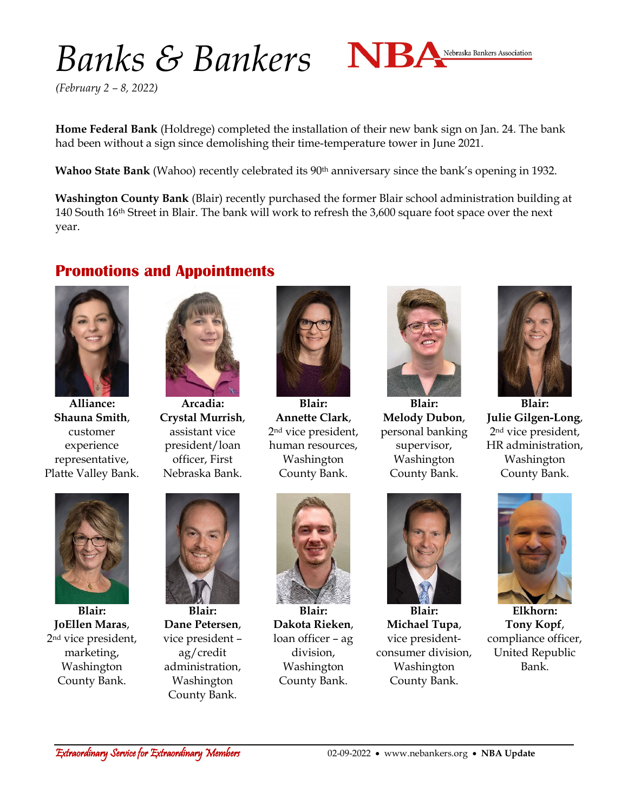# Banks & Bankers NBA Nebraska Bankers Association



*(February 2 – 8, 2022)*

**Home Federal Bank** (Holdrege) completed the installation of their new bank sign on Jan. 24. The bank had been without a sign since demolishing their time-temperature tower in June 2021.

**Wahoo State Bank** (Wahoo) recently celebrated its 90<sup>th</sup> anniversary since the bank's opening in 1932.

**Washington County Bank** (Blair) recently purchased the former Blair school administration building at 140 South 16th Street in Blair. The bank will work to refresh the 3,600 square foot space over the next year.

#### **Promotions and Appointments**



**Alliance: Shauna Smith**, customer experience representative, Platte Valley Bank.



**Arcadia: Crystal Murrish**, assistant vice president/loan officer, First Nebraska Bank.



**Blair: Annette Clark**, 2nd vice president, human resources, Washington County Bank.



**Blair: Melody Dubon**, personal banking supervisor, Washington County Bank.



**Blair: Julie Gilgen-Long**, 2nd vice president, HR administration, Washington County Bank.



**Blair: JoEllen Maras**, 2nd vice president, marketing, Washington County Bank.



**Blair: Dane Petersen**, vice president – ag/credit administration, Washington County Bank.



**Blair: Dakota Rieken**, loan officer – ag division, Washington County Bank.



**Blair: Michael Tupa**, vice presidentconsumer division, Washington County Bank.



**Elkhorn: Tony Kopf**, compliance officer, United Republic Bank.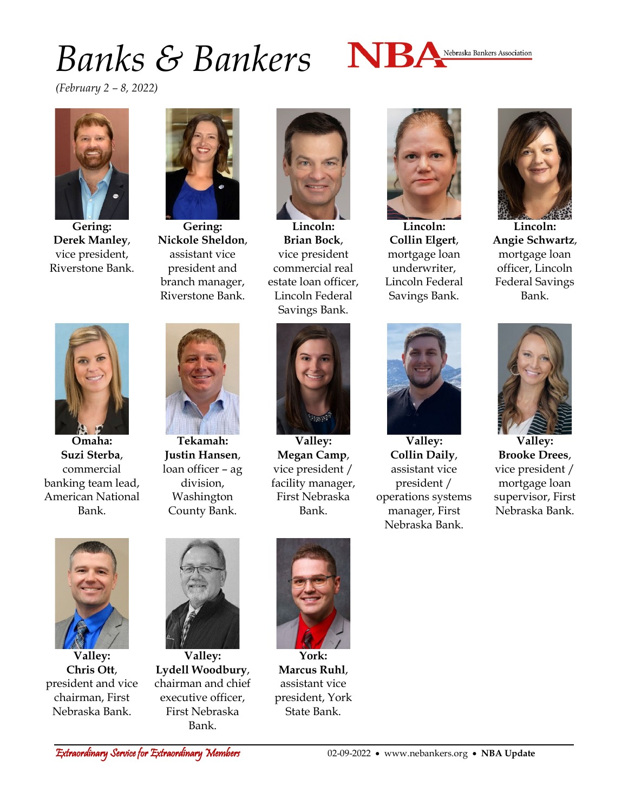### *Banks & Bankers*



*(February 2 – 8, 2022)*



**Gering: Derek Manley**, vice president, Riverstone Bank.



**Gering: Nickole Sheldon**, assistant vice president and branch manager, Riverstone Bank.



**Lincoln: Brian Bock**, vice president commercial real estate loan officer, Lincoln Federal Savings Bank.



**Lincoln: Collin Elgert**, mortgage loan underwriter, Lincoln Federal Savings Bank.



**Lincoln: Angie Schwartz**, mortgage loan officer, Lincoln Federal Savings Bank.



**Omaha: Suzi Sterba**, commercial banking team lead, American National Bank.



**Tekamah: Justin Hansen**, loan officer – ag division, Washington County Bank.



**Valley: Megan Camp**, vice president / facility manager, First Nebraska Bank.



**Valley: Collin Daily**, assistant vice president / operations systems manager, First Nebraska Bank.



**Valley: Brooke Drees**, vice president / mortgage loan supervisor, First Nebraska Bank.



**Valley: Chris Ott**, president and vice chairman, First Nebraska Bank.



**Valley: Lydell Woodbury**, chairman and chief executive officer, First Nebraska Bank.



**York: Marcus Ruhl**, assistant vice president, York State Bank.